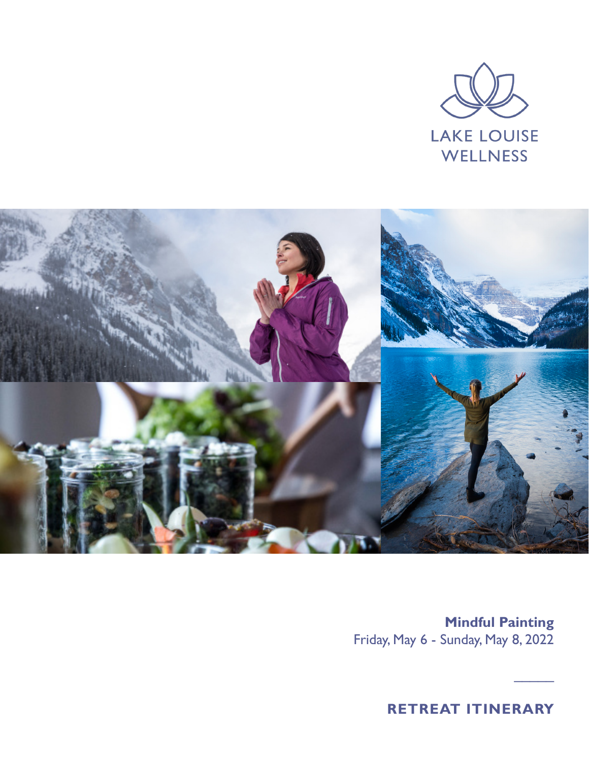



**Mindful Painting**  Friday, May 6 - Sunday, May 8, 2022

**RETREAT ITINERARY**

 $\overline{\phantom{a}}$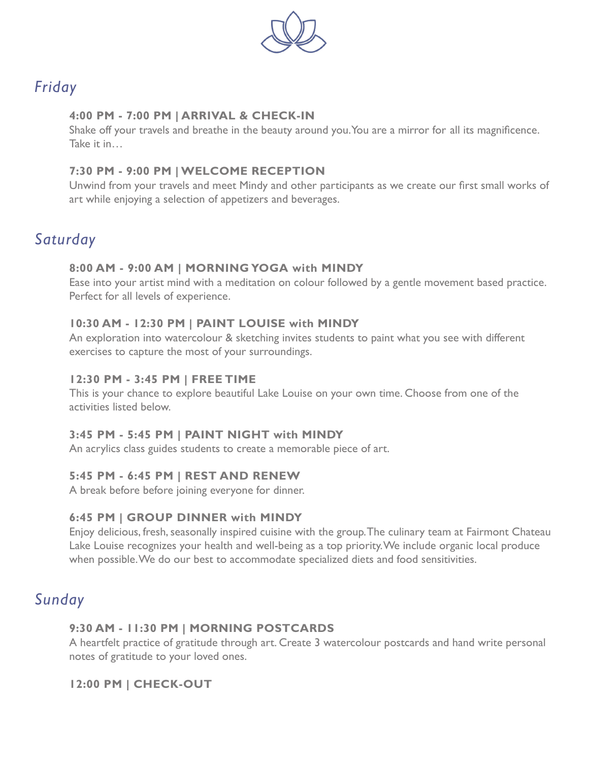

# *Friday*

#### **4:00 PM - 7:00 PM | ARRIVAL & CHECK-IN**

Shake off your travels and breathe in the beauty around you. You are a mirror for all its magnificence. Take it in…

### **7:30 PM - 9:00 PM | WELCOME RECEPTION**

Unwind from your travels and meet Mindy and other participants as we create our first small works of art while enjoying a selection of appetizers and beverages.

# *Saturday*

### **8:00 AM - 9:00 AM | MORNING YOGA with MINDY**

Ease into your artist mind with a meditation on colour followed by a gentle movement based practice. Perfect for all levels of experience.

### **10:30 AM - 12:30 PM | PAINT LOUISE with MINDY**

An exploration into watercolour & sketching invites students to paint what you see with different exercises to capture the most of your surroundings.

### **12:30 PM - 3:45 PM | FREE TIME**

This is your chance to explore beautiful Lake Louise on your own time. Choose from one of the activities listed below.

### **3:45 PM - 5:45 PM | PAINT NIGHT with MINDY**

An acrylics class guides students to create a memorable piece of art.

### **5:45 PM - 6:45 PM | REST AND RENEW**

A break before before joining everyone for dinner.

### **6:45 PM | GROUP DINNER with MINDY**

Enjoy delicious, fresh, seasonally inspired cuisine with the group. The culinary team at Fairmont Chateau Lake Louise recognizes your health and well-being as a top priority. We include organic local produce when possible. We do our best to accommodate specialized diets and food sensitivities.

## *Sunday*

### **9:30 AM - 11:30 PM | MORNING POSTCARDS**

A heartfelt practice of gratitude through art. Create 3 watercolour postcards and hand write personal notes of gratitude to your loved ones.

### **12:00 PM | CHECK-OUT**